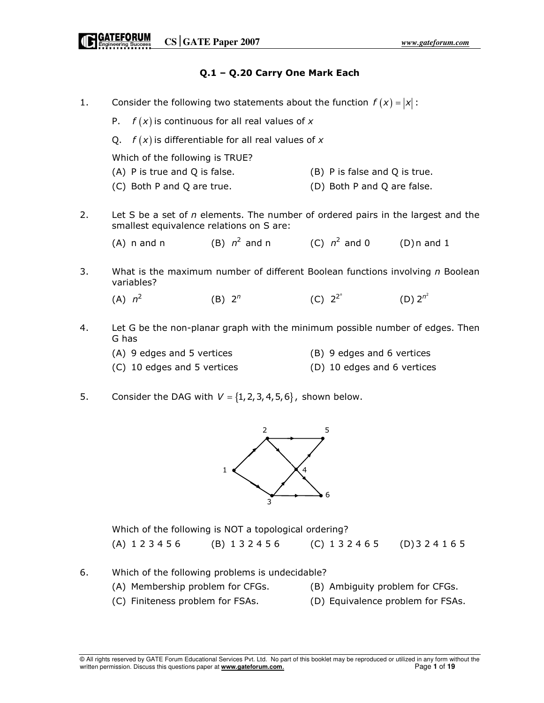# Q.1 – Q.20 Carry One Mark Each

- 1. Consider the following two statements about the function  $f(x) = |x|$ :
	- P.  $f(x)$  is continuous for all real values of x
	- Q.  $f(x)$  is differentiable for all real values of x

Which of the following is TRUE?

- (A) P is true and Q is false. (B) P is false and Q is true.
- (C) Both P and Q are true. (D) Both P and Q are false.
- 2. Let S be a set of  $n$  elements. The number of ordered pairs in the largest and the smallest equivalence relations on S are:

3. What is the maximum number of different Boolean functions involving  $n$  Boolean variables?

 $(A)$   $n^2$ (B)  $2^n$ (C)  $2^{2^n}$  (D)  $2^{n^2}$ 

- 4. Let G be the non-planar graph with the minimum possible number of edges. Then G has
	- (A) 9 edges and 5 vertices (B) 9 edges and 6 vertices
	- (C) 10 edges and 5 vertices (D) 10 edges and 6 vertices
- 5. Consider the DAG with  $V = \{1, 2, 3, 4, 5, 6\}$ , shown below.



 Which of the following is NOT a topological ordering? (A) 1 2 3 4 5 6 (B) 1 3 2 4 5 6 (C) 1 3 2 4 6 5 (D) 3 2 4 1 6 5

- 6. Which of the following problems is undecidable?
	- (A) Membership problem for CFGs. (B) Ambiguity problem for CFGs.
- - (C) Finiteness problem for FSAs. (D) Equivalence problem for FSAs.
		-

<sup>(</sup>A) n and n (B)  $n^2$  and n (C)  $n^2$  and 0 (D) n and 1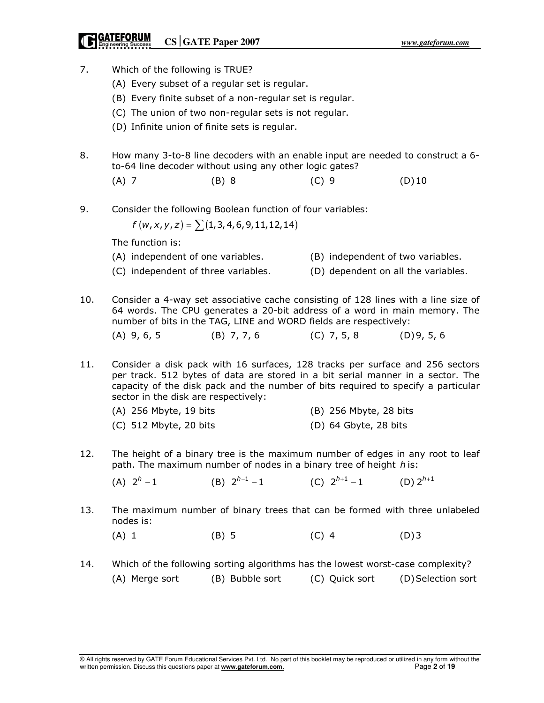# **CATEFORUM** CS GATE Paper 2007

- 7. Which of the following is TRUE?
	- (A) Every subset of a regular set is regular.
	- (B) Every finite subset of a non-regular set is regular.
	- (C) The union of two non-regular sets is not regular.
	- (D) Infinite union of finite sets is regular.
- 8. How many 3-to-8 line decoders with an enable input are needed to construct a 6 to-64 line decoder without using any other logic gates?
- (A) 7 (B) 8 (C) 9 (D) 10
- 9. Consider the following Boolean function of four variables:

$$
f(w, x, y, z) = \sum (1, 3, 4, 6, 9, 11, 12, 14)
$$

The function is:

- (A) independent of one variables. (B) independent of two variables.
- (C) independent of three variables. (D) dependent on all the variables.
- 10. Consider a 4-way set associative cache consisting of 128 lines with a line size of 64 words. The CPU generates a 20-bit address of a word in main memory. The number of bits in the TAG, LINE and WORD fields are respectively:

(A) 9, 6, 5 (B) 7, 7, 6 (C) 7, 5, 8 (D) 9, 5, 6

11. Consider a disk pack with 16 surfaces, 128 tracks per surface and 256 sectors per track. 512 bytes of data are stored in a bit serial manner in a sector. The capacity of the disk pack and the number of bits required to specify a particular sector in the disk are respectively:

| $(A)$ 256 Mbyte, 19 bits | (B) 256 Mbyte, 28 bits  |
|--------------------------|-------------------------|
| $(C)$ 512 Mbyte, 20 bits | $(D)$ 64 Gbyte, 28 bits |

12. The height of a binary tree is the maximum number of edges in any root to leaf path. The maximum number of nodes in a binary tree of height h is:

(A)  $2^h - 1$  $-1$  (B)  $2^{h-1}-1$  (C)  $2^{h+1}-1$  $-1$  (D)  $2^{h+1}$ 

- 13. The maximum number of binary trees that can be formed with three unlabeled nodes is:
- (A) 1 (B) 5 (C) 4 (D) 3
- 14. Which of the following sorting algorithms has the lowest worst-case complexity? (A) Merge sort (B) Bubble sort (C) Quick sort (D) Selection sort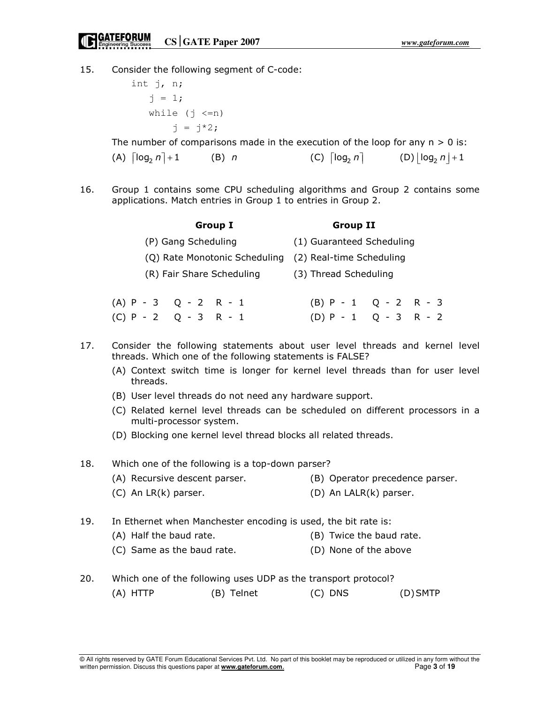15. Consider the following segment of C-code:

 int j, n;  $j = 1;$ while  $(j \le n)$  $j = j*2;$ 

The number of comparisons made in the execution of the loop for any  $n > 0$  is:

| (A) $\lceil \log_2 n \rceil + 1$ | $(B)$ n | (C) $\lceil \log_2 n \rceil$ | (D) $\lfloor \log_2 n \rfloor + 1$ |
|----------------------------------|---------|------------------------------|------------------------------------|
|----------------------------------|---------|------------------------------|------------------------------------|

16. Group 1 contains some CPU scheduling algorithms and Group 2 contains some applications. Match entries in Group 1 to entries in Group 2.

|                         |                     | <b>Group I</b>            | <b>Group II</b>                                        |  |  |
|-------------------------|---------------------|---------------------------|--------------------------------------------------------|--|--|
|                         | (P) Gang Scheduling |                           | (1) Guaranteed Scheduling                              |  |  |
|                         |                     |                           | (Q) Rate Monotonic Scheduling (2) Real-time Scheduling |  |  |
|                         |                     | (R) Fair Share Scheduling | (3) Thread Scheduling                                  |  |  |
| $(A)$ P - 3 Q - 2 R - 1 |                     |                           | $(B)$ P - 1 Q - 2 R - 3                                |  |  |
| $(C) P - 2 Q - 3 R - 1$ |                     |                           | $(D) P - 1 Q - 3 R - 2$                                |  |  |

- 17. Consider the following statements about user level threads and kernel level threads. Which one of the following statements is FALSE?
	- (A) Context switch time is longer for kernel level threads than for user level threads.
	- (B) User level threads do not need any hardware support.
	- (C) Related kernel level threads can be scheduled on different processors in a multi-processor system.
	- (D) Blocking one kernel level thread blocks all related threads.

18. Which one of the following is a top-down parser?

- (A) Recursive descent parser. (B) Operator precedence parser.
- (C) An LR(k) parser. (D) An LALR(k) parser.

19. In Ethernet when Manchester encoding is used, the bit rate is:

- (A) Half the baud rate. (B) Twice the baud rate.
- (C) Same as the baud rate. (D) None of the above
- 20. Which one of the following uses UDP as the transport protocol?
	- (A) HTTP (B) Telnet (C) DNS (D) SMTP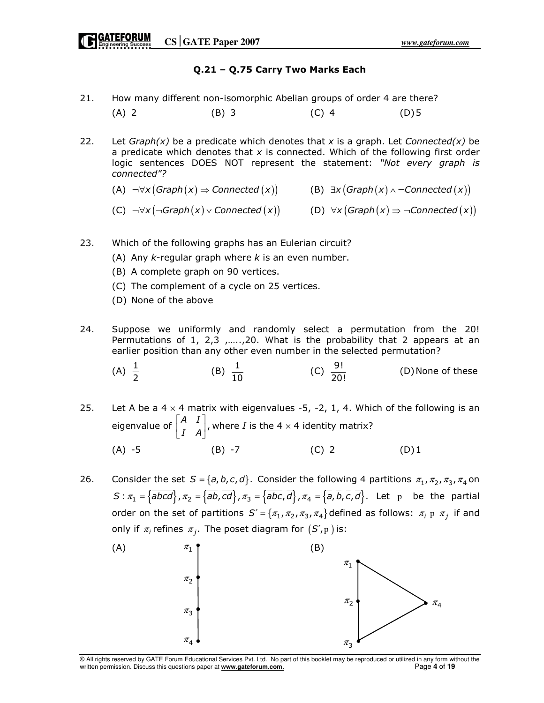# Q.21 – Q.75 Carry Two Marks Each

- 21. How many different non-isomorphic Abelian groups of order 4 are there? (A) 2 (B) 3 (C) 4 (D) 5
- 22. Let  $Graph(x)$  be a predicate which denotes that x is a graph. Let Connected(x) be a predicate which denotes that  $x$  is connected. Which of the following first order logic sentences DOES NOT represent the statement: "Not every graph is connected"?

(A) 
$$
\neg \forall x (Graph(x) \Rightarrow Connected(x))
$$
 (B)  $\exists x (Graph(x) \land \neg Connected(x))$ 

(C)  $\neg\forall x (\neg Graph(x) \lor Connected(x))$  (D)  $\forall x (Graph(x) \Rightarrow \neg Connected(x))$ 

- 23. Which of the following graphs has an Eulerian circuit?
	- (A) Any  $k$ -regular graph where  $k$  is an even number.
	- (B) A complete graph on 90 vertices.
	- (C) The complement of a cycle on 25 vertices.
	- (D) None of the above
- 24. Suppose we uniformly and randomly select a permutation from the 20! Permutations of 1, 2,3 ,.....,20. What is the probability that 2 appears at an earlier position than any other even number in the selected permutation?
- (A)  $\frac{1}{2}$ (B)  $\frac{1}{10}$  (C)  $\frac{9!}{20!}$ (D) None of these
- 25. Let A be a  $4 \times 4$  matrix with eigenvalues -5, -2, 1, 4. Which of the following is an eigenvalue of  $\begin{bmatrix} A & I \\ I & I \end{bmatrix}$ , I A  $[A \mid I]$  $\begin{bmatrix} 1 & 1 \\ 1 & A \end{bmatrix}$ , where *I* is the 4 x 4 identity matrix? (A) -5 (B) -7 (C) 2 (D) 1
- 26. Consider the set  $S = \{a, b, c, d\}$ . Consider the following 4 partitions  $\pi_1, \pi_2, \pi_3, \pi_4$  on  $S: \pi_1 = {\overline{abcd}}, \pi_2 = {\overline{ab}}, \overline{cd}, \pi_3 = {\overline{abc}}, \overline{d}, \pi_4 = {\overline{a}}, \overline{b}, \overline{c}, \overline{d}.$  Let p be the partial order on the set of partitions  $S' = \{\pi_1, \pi_2, \pi_3, \pi_4\}$  defined as follows:  $\pi_i$  p  $\pi_j$  if and only if  $\pi_i$  refines  $\pi_j$ . The poset diagram for  $(S',p)$  is:



© All rights reserved by GATE Forum Educational Services Pvt. Ltd. No part of this booklet may be reproduced or utilized in any form without the written permission. Discuss this questions paper at **www.gateforum.com.** Page 4 of 19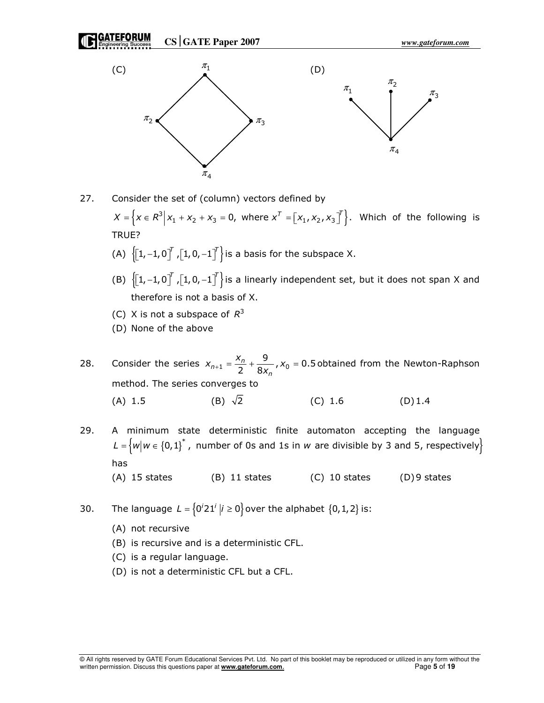**CSGATE Paper 2007** *www.gateforum.com*





- 27. Consider the set of (column) vectors defined by  $X = \left\{ x \in R^3 \middle| X_1 + X_2 + X_3 = 0, \text{ where } x^T = \left[ x_1, x_2, x_3 \right]^T \right\}.$  Which of the following is TRUE?
- (A)  $\left\{ \left[1, -1, 0\right]^T, \left[1, 0, -1\right]^T \right\}$  is a basis for the subspace X.
- (B)  $\left\{ \left[1, -1, 0\right]^T, \left[1, 0, -1\right]^T \right\}$  is a linearly independent set, but it does not span X and therefore is not a basis of X.
	- (C) X is not a subspace of  $R^3$
	- (D) None of the above
- 28. Consider the series  $x_{n+1} = \frac{x_n}{2} + \frac{9}{8x_n}$ ,  $x_0 = 0.5$  $n+1 = \frac{x_n}{2} + \frac{5}{8x_n}$  $x_{n+1} = \frac{x_n}{2} + \frac{9}{8x_n}$ ,  $x_0 = 0.5$  obtained from the Newton-Raphson method. The series converges to (A) 1.5 (B)  $\sqrt{2}$  (C) 1.6 (D) 1.4
- 29. A minimum state deterministic finite automaton accepting the language L =  $\big\{w \vert w \in \left\{0,1\right\}^*$  , number of 0s and 1s in  $w$  are divisible by 3 and 5, respectively $\big\}$ has
	- (A) 15 states  $(B)$  11 states  $(C)$  10 states  $(D)$ 9 states
- 30. The language  $L = \{0^i 21^i | i \ge 0\}$  over the alphabet  $\{0, 1, 2\}$  is:
	- (A) not recursive
	- (B) is recursive and is a deterministic CFL.
	- (C) is a regular language.
	- (D) is not a deterministic CFL but a CFL.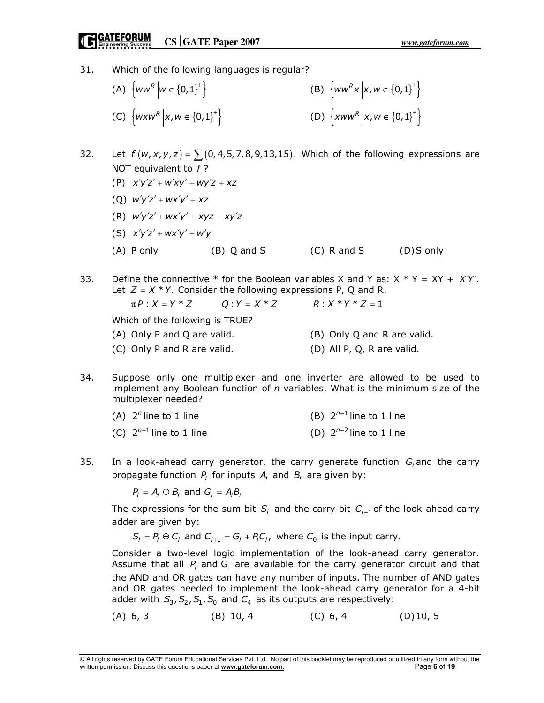# **CATEFORUM** CS GATE Paper 2007

31. Which of the following languages is regular?

| (A) $\{ww^R \mid w \in \{0,1\}^+\}$    | (B) $\{ww^Rx   x, w \in \{0,1\}^+\}$                     |
|----------------------------------------|----------------------------------------------------------|
| (C) $\{w x w^R   x, w \in \{0,1\}^+\}$ | (D) $\left\{ xww^R \middle  x, w \in \{0,1\}^+ \right\}$ |

- 32. Let  $f(w, x, y, z) = \sum (0, 4, 5, 7, 8, 9, 13, 15)$ . Which of the following expressions are NOT equivalent to  $f$ ?
	- (P)  $x'y'z' + w'xy' + wy'z + xz$
	- (0)  $w'y'z' + wx'y' + xz$
	- (R)  $w'y'z' + wx'y' + xyz + xy'z$
	- (S)  $x'y'z' + wx'y' + w'y$
	- $(A)$  P only  $(B)$  Q and S  $(C)$  R and S  $(D)$  S only
- 33. Define the connective \* for the Boolean variables X and Y as:  $X * Y = XY + XY'$ . Let  $Z = X * Y$ . Consider the following expressions P, Q and R.

 $\pi P$  :  $X = Y * Z$   $Q$  :  $Y = X * Z$   $R$  :  $X * Y * Z = 1$  Which of the following is TRUE? (A) Only P and Q are valid. (B) Only Q and R are valid. (C) Only P and R are valid. (D) All P, Q, R are valid.

34. Suppose only one multiplexer and one inverter are allowed to be used to implement any Boolean function of  $n$  variables. What is the minimum size of the multiplexer needed?

| (A) $2^n$ line to 1 line     | (B) $2^{n+1}$ line to 1 line |
|------------------------------|------------------------------|
| (C) $2^{n-1}$ line to 1 line | (D) $2^{n-2}$ line to 1 line |

35. In a look-ahead carry generator, the carry generate function  $G_i$  and the carry propagate function  $P_i$  for inputs  $A_i$  and  $B_i$  are given by:

 $P_i = A_i \oplus B_i$  and  $G_i = A_i B_i$ 

The expressions for the sum bit  $S_i$  and the carry bit  $C_{i+1}$  of the look-ahead carry adder are given by:

 $S_i = P_i \oplus C_i$  and  $C_{i+1} = G_i + P_i C_i$ , where  $C_0$  is the input carry.

 Consider a two-level logic implementation of the look-ahead carry generator. Assume that all  $P_i$  and  $G_i$  are available for the carry generator circuit and that the AND and OR gates can have any number of inputs. The number of AND gates and OR gates needed to implement the look-ahead carry generator for a 4-bit adder with  $S_3$ ,  $S_2$ ,  $S_1$ ,  $S_0$  and  $C_4$  as its outputs are respectively:

(A) 6, 3 (B) 10, 4 (C) 6, 4 (D) 10, 5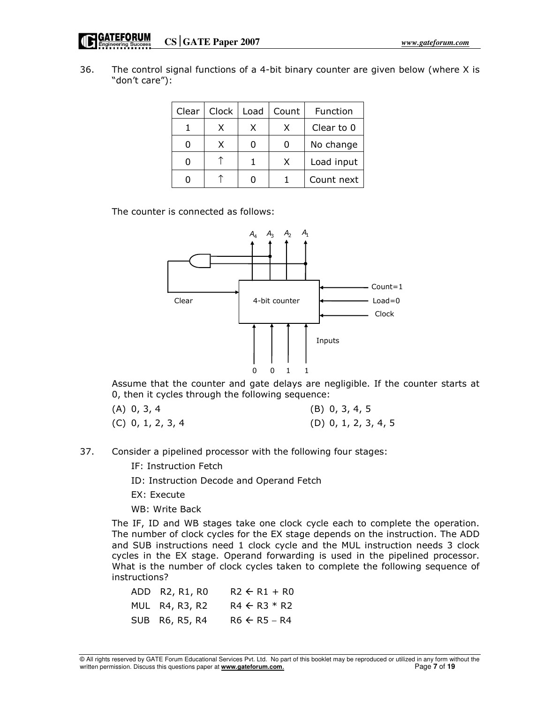| 36. | The control signal functions of a 4-bit binary counter are given below (where X is |
|-----|------------------------------------------------------------------------------------|
|     | "don't care"):                                                                     |

| Clear | Clock | Load | Count | Function   |
|-------|-------|------|-------|------------|
|       | X     | x    |       | Clear to 0 |
|       | X     |      |       | No change  |
|       |       |      | X     | Load input |
|       |       |      |       | Count next |

The counter is connected as follows:



 Assume that the counter and gate delays are negligible. If the counter starts at 0, then it cycles through the following sequence:

| $(A)$ 0, 3, 4       | $(B)$ 0, 3, 4, 5       |
|---------------------|------------------------|
| $(C)$ 0, 1, 2, 3, 4 | $(D)$ 0, 1, 2, 3, 4, 5 |

- 37. Consider a pipelined processor with the following four stages:
	- IF: Instruction Fetch
	- ID: Instruction Decode and Operand Fetch
	- EX: Execute
	- WB: Write Back

The IF, ID and WB stages take one clock cycle each to complete the operation. The number of clock cycles for the EX stage depends on the instruction. The ADD and SUB instructions need 1 clock cycle and the MUL instruction needs 3 clock cycles in the EX stage. Operand forwarding is used in the pipelined processor. What is the number of clock cycles taken to complete the following sequence of instructions?

| ADD R2, R1, R0 | $R2 \leftarrow R1 + R0$ |
|----------------|-------------------------|
| MUL R4, R3, R2 | $R4 \leftarrow R3 * R2$ |
| SUB R6, R5, R4 | $R6 \leftarrow R5 - R4$ |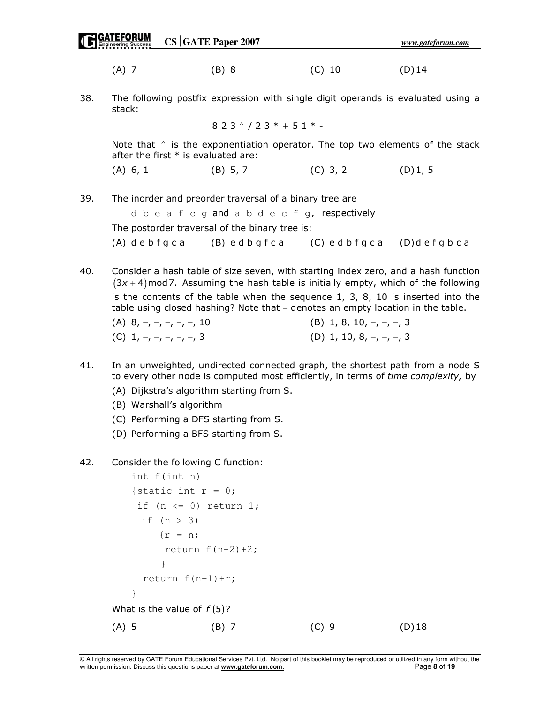|     |                                                                                                                               | $CS$ GATE Paper 2007                                                                                                                                                                                         |            | www.gateforum.com |  |
|-----|-------------------------------------------------------------------------------------------------------------------------------|--------------------------------------------------------------------------------------------------------------------------------------------------------------------------------------------------------------|------------|-------------------|--|
|     | $(A)$ 7                                                                                                                       | (B) 8                                                                                                                                                                                                        | $(C)$ 10   | $(D)$ 14          |  |
| 38. | stack:                                                                                                                        | The following postfix expression with single digit operands is evaluated using a                                                                                                                             |            |                   |  |
|     |                                                                                                                               | $823^{\wedge}/23* + 51*-$                                                                                                                                                                                    |            |                   |  |
|     | Note that $\wedge$ is the exponentiation operator. The top two elements of the stack<br>after the first $*$ is evaluated are: |                                                                                                                                                                                                              |            |                   |  |
|     | $(A)$ 6, 1                                                                                                                    | (B) 5, 7                                                                                                                                                                                                     | $(C)$ 3, 2 | (D)1, 5           |  |
| 39. |                                                                                                                               | The inorder and preorder traversal of a binary tree are<br>d b e a f c q and a b d e c f q, respectively<br>The postorder traversal of the binary tree is:<br>(A) debfgca (B) edbgfca (C) edbfgca (D)defgbca |            |                   |  |
| 40  |                                                                                                                               | Consider a hash table of size seven, with starting index zero, and a hash function                                                                                                                           |            |                   |  |

40. Consider a hash table of size seven, with starting index zero, and a hash function  $(3x + 4)$  mod 7. Assuming the hash table is initially empty, which of the following is the contents of the table when the sequence  $1, 3, 8, 10$  is inserted into the table using closed hashing? Note that – denotes an empty location in the table.

| $(A)$ 8, -, -, -, -, -, 10 | $(B)$ 1, 8, 10, $-$ , $-$ , $-$ , 3 |
|----------------------------|-------------------------------------|
| (C) $1, -, -, -, -, -, 3$  | (D) 1, 10, 8, $-$ , $-$ , $-$ , 3   |

- 41. In an unweighted, undirected connected graph, the shortest path from a node S to every other node is computed most efficiently, in terms of time complexity, by
	- (A) Dijkstra's algorithm starting from S.
	- (B) Warshall's algorithm
	- (C) Performing a DFS starting from S.
	- (D) Performing a BFS starting from S.
- 42. Consider the following C function:

```
 int f(int n) 
      {static int r = 0;
       if (n \leq 0) return 1;
        if (n > 3)\{r = n;return f(n-2)+2;
 } 
        return f(n-1)+r;
 } 
    What is the value of f(5)?
(A) 5 (B) 7 (C) 9 (D) 18
```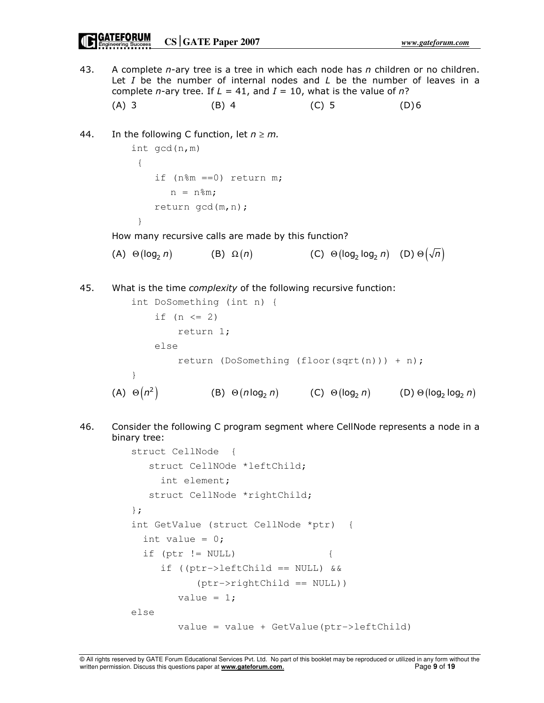# **CATEFORUM**<br> **CONFIGUTE:** CONTENT Paper 2007

43. A complete  $n$ -ary tree is a tree in which each node has  $n$  children or no children. Let  $I$  be the number of internal nodes and  $L$  be the number of leaves in a complete *n*-ary tree. If  $L = 41$ , and  $I = 10$ , what is the value of *n*? (A) 3 (B) 4 (C) 5 (D) 6 44. In the following C function, let  $n \ge m$ . int gcd(n,m)  $\{$  if (n%m ==0) return m;  $n = n$   $\text{\textsterling}m$ :

 return gcd(m,n); }

How many recursive calls are made by this function?

(A)  $\Theta(\log_2 n)$  (B)  $\Omega(n)$  (C)  $\Theta(\log_2 \log_2 n)$  (D)  $\Theta(\sqrt{n})$ 

45. What is the time *complexity* of the following recursive function:

```
 int DoSomething (int n) { 
               if (n \leq 2) return 1; 
                else 
                    return (DoSomething (floor(sqrt(n))) + n);
 } 
      (A) \Theta(n^2)(B) \Theta(n \log_2 n) (C) \Theta(\log_2 n) (D) \Theta(\log_2 \log_2 n)
```
46. Consider the following C program segment where CellNode represents a node in a binary tree:

```
 struct CellNode { 
    struct CellNOde *leftChild; 
      int element; 
   struct CellNode *rightChild; 
 }; 
 int GetValue (struct CellNode *ptr) { 
  int value = 0;if (ptr != NULL) {
      if ((ptr->leftChild == NULL) && 
            (ptr->rightChild == NULL)) 
        value = 1;
 else 
         value = value + GetValue(ptr->leftChild)
```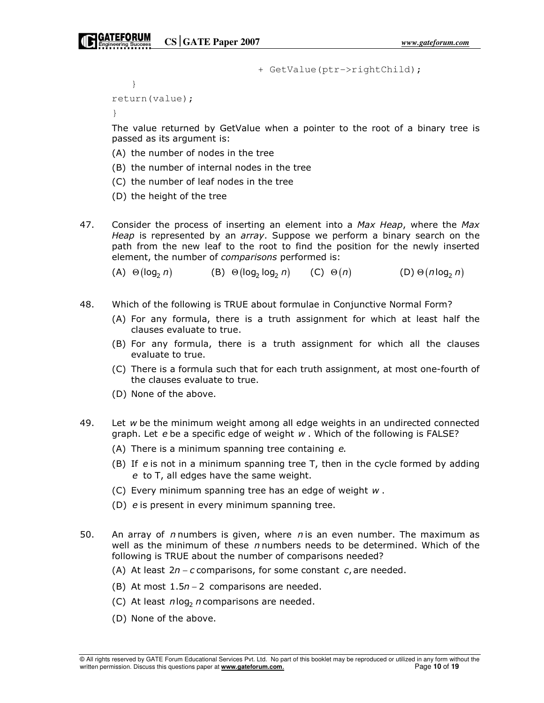+ GetValue(ptr->rightChild);

return(value);

}

}

 The value returned by GetValue when a pointer to the root of a binary tree is passed as its argument is:

- (A) the number of nodes in the tree
- (B) the number of internal nodes in the tree
- (C) the number of leaf nodes in the tree
- (D) the height of the tree
- 47. Consider the process of inserting an element into a Max Heap, where the Max Heap is represented by an *array*. Suppose we perform a binary search on the path from the new leaf to the root to find the position for the newly inserted element, the number of comparisons performed is:

(A)  $\Theta(\log_2 n)$  (B)  $\Theta(\log_2 \log_2 n)$  (C)  $\Theta(n)$  (D)  $\Theta(n \log_2 n)$ 

- 48. Which of the following is TRUE about formulae in Conjunctive Normal Form?
	- (A) For any formula, there is a truth assignment for which at least half the clauses evaluate to true.
	- (B) For any formula, there is a truth assignment for which all the clauses evaluate to true.
	- (C) There is a formula such that for each truth assignment, at most one-fourth of the clauses evaluate to true.
	- (D) None of the above.
- 49. Let w be the minimum weight among all edge weights in an undirected connected graph. Let e be a specific edge of weight w . Which of the following is FALSE?
	- (A) There is a minimum spanning tree containing e.
	- (B) If e is not in a minimum spanning tree T, then in the cycle formed by adding e to T, all edges have the same weight.
	- (C) Every minimum spanning tree has an edge of weight w .
	- (D) e is present in every minimum spanning tree.
- 50. An array of *n* numbers is given, where *n* is an even number. The maximum as well as the minimum of these  $n$  numbers needs to be determined. Which of the following is TRUE about the number of comparisons needed?
	- (A) At least  $2n c$  comparisons, for some constant  $c$ , are needed.
	- (B) At most  $1.5n 2$  comparisons are needed.
	- (C) At least  $n \log_2 n$  comparisons are needed.
	- (D) None of the above.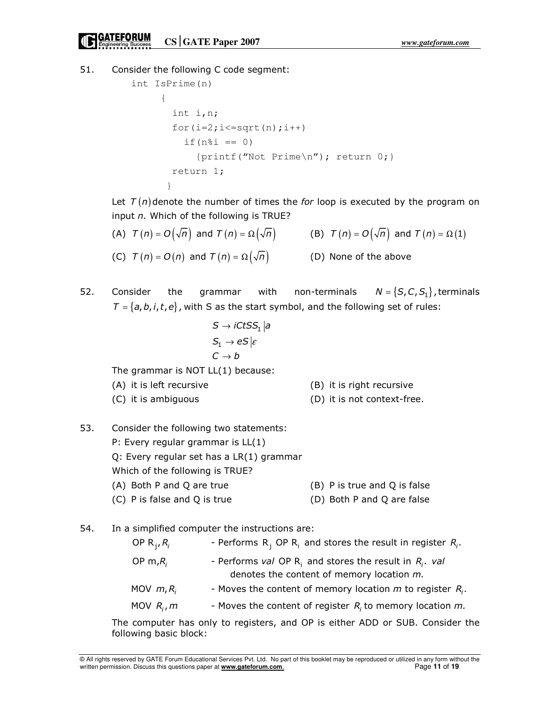51. Consider the following C code segment:

```
 int IsPrime(n) 
 { 
               int i,n; 
              for(i=2; i<=sqrt(n); i++)if(n\i == 0) {printf("Not Prime\n"); return 0;} 
               return 1; 
 }
```
Let  $T(n)$  denote the number of times the for loop is executed by the program on input n. Which of the following is TRUE?

| (A) $T(n) = O(\sqrt{n})$ and $T(n) = \Omega(\sqrt{n})$ | (B) $T(n) = O(\sqrt{n})$ and $T(n) = \Omega(1)$ |
|--------------------------------------------------------|-------------------------------------------------|
| (C) $T(n) = O(n)$ and $T(n) = \Omega(\sqrt{n})$        | (D) None of the above                           |

52. Consider the grammar with non-terminals  $N = \{S, C, S_1\}$ , terminals  $T = \{a, b, i, t, e\}$ , with S as the start symbol, and the following set of rules:

$$
S \rightarrow iCtSS1 | a
$$
  
\n
$$
S1 \rightarrow eS | \varepsilon
$$
  
\n
$$
C \rightarrow b
$$
  
\nThe grammar is NOT LL(1) because:

(A) it is left recursive (B) it is right recursive

- (C) it is ambiguous (D) it is not context-free.
- 53. Consider the following two statements: P: Every regular grammar is LL(1) Q: Every regular set has a LR(1) grammar Which of the following is TRUE? (A) Both P and Q are true (B) P is true and Q is false (C) P is false and Q is true (D) Both P and Q are false
- 54. In a simplified computer the instructions are:

| OP $R_i, R_i$ | - Performs $R_i$ OP $R_i$ and stores the result in register $R_i$ .                                          |
|---------------|--------------------------------------------------------------------------------------------------------------|
| OP $m_iR_i$   | - Performs val OP $R_i$ and stores the result in $R_i$ . val<br>denotes the content of memory location $m$ . |
| MOV $m, R_i$  | - Moves the content of memory location $m$ to register $R_i$ .                                               |
| MOV $R_i$ , m | - Moves the content of register $R_i$ to memory location $m$ .                                               |
|               |                                                                                                              |

The computer has only to registers, and OP is either ADD or SUB. Consider the following basic block: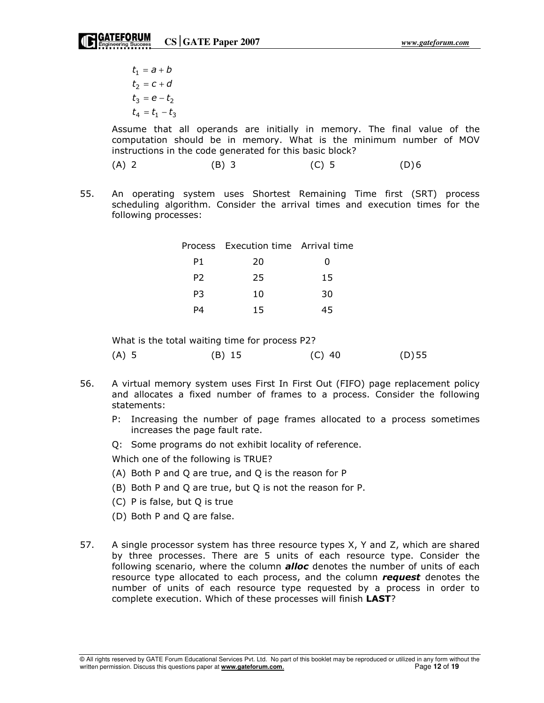$t_1 = a + b$  $t_2 = c + d$  $t_3 = e - t_2$  $t_4 = t_1 - t_3$ 

Assume that all operands are initially in memory. The final value of the computation should be in memory. What is the minimum number of MOV instructions in the code generated for this basic block?

- (A) 2 (B) 3 (C) 5 (D) 6
- 55. An operating system uses Shortest Remaining Time first (SRT) process scheduling algorithm. Consider the arrival times and execution times for the following processes:

|                | Process Execution time Arrival time |    |
|----------------|-------------------------------------|----|
| P1             | 20                                  | 0  |
| P <sub>2</sub> | 25                                  | 15 |
| P3             | 10                                  | 30 |
| P4             | 15                                  | 45 |
|                |                                     |    |

What is the total waiting time for process P2?

|  | $(A)$ 5 | $(B)$ 15 | $(C)$ 40 | $(D)$ 55 |
|--|---------|----------|----------|----------|
|--|---------|----------|----------|----------|

- 56. A virtual memory system uses First In First Out (FIFO) page replacement policy and allocates a fixed number of frames to a process. Consider the following statements:
	- P: Increasing the number of page frames allocated to a process sometimes increases the page fault rate.
	- Q: Some programs do not exhibit locality of reference.

Which one of the following is TRUE?

- (A) Both P and Q are true, and Q is the reason for P
- (B) Both P and Q are true, but Q is not the reason for P.
- (C) P is false, but Q is true
- (D) Both P and Q are false.
- 57. A single processor system has three resource types X, Y and Z, which are shared by three processes. There are 5 units of each resource type. Consider the following scenario, where the column **alloc** denotes the number of units of each resource type allocated to each process, and the column request denotes the number of units of each resource type requested by a process in order to complete execution. Which of these processes will finish LAST?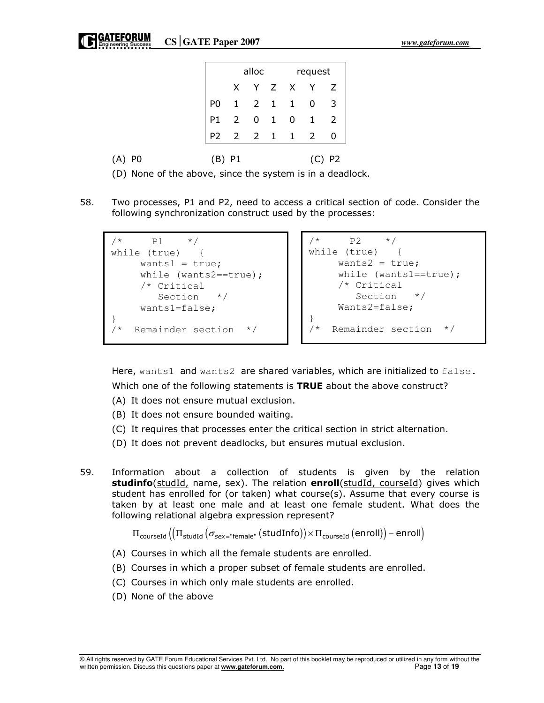|            |                |      | alloc |  | request                                                  |                |
|------------|----------------|------|-------|--|----------------------------------------------------------|----------------|
|            |                |      |       |  |                                                          |                |
|            | P0             |      |       |  |                                                          |                |
|            | P1             |      |       |  |                                                          |                |
|            | P <sub>2</sub> |      |       |  | X Y Z X Y Z<br>1 2 1 1 0 3<br>2 0 1 0 1 2<br>2 2 1 1 2 0 |                |
| -PO<br>(A) | (B)            | - P1 |       |  |                                                          | P <sub>2</sub> |

- (D) None of the above, since the system is in a deadlock.
- 58. Two processes, P1 and P2, need to access a critical section of code. Consider the following synchronization construct used by the processes:

```
/* P1 */while (true) { 
     wants1 = true;while (wants2==true);
      /* Critical 
         Section */ 
      wants1=false; 
} 
   /* Remainder section */
```

```
/* P2 */while (true) { 
    wants2 = true;
    while (wants1==true);
      /* Critical 
        Section */ 
     Wants2=false; 
} 
/* Remainder section */
```
Here, wants1 and wants2 are shared variables, which are initialized to false. Which one of the following statements is TRUE about the above construct?

- (A) It does not ensure mutual exclusion.
- (B) It does not ensure bounded waiting.
- (C) It requires that processes enter the critical section in strict alternation.
- (D) It does not prevent deadlocks, but ensures mutual exclusion.
- 59. Information about a collection of students is given by the relation studinfo(studId, name, sex). The relation enroll(studId, courseId) gives which student has enrolled for (or taken) what course(s). Assume that every course is taken by at least one male and at least one female student. What does the following relational algebra expression represent?

 $\Pi_{\text{courseId}} (\left( \Pi_{\text{studId}} (\sigma_{\text{sex}=\text{``female''}} (\text{studInfo}) \right) \times \Pi_{\text{courseId}} (\text{enroll}) ) - \text{enroll} )$ 

- (A) Courses in which all the female students are enrolled.
- (B) Courses in which a proper subset of female students are enrolled.
- (C) Courses in which only male students are enrolled.
- (D) None of the above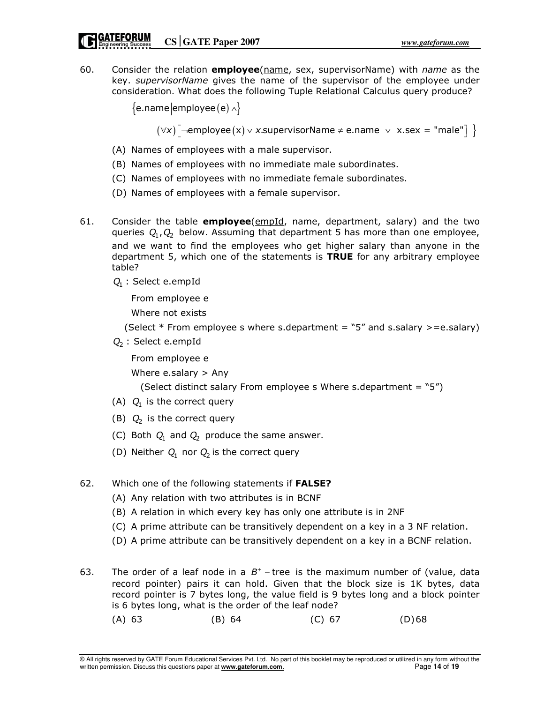60. Consider the relation **employee**(name, sex, supervisorName) with *name* as the key. *supervisorName* gives the name of the supervisor of the employee under consideration. What does the following Tuple Relational Calculus query produce?

```
{e.}name employee (e) \land
```
 $(\forall x)[\lnot\text{employee}(x) \lor x.\text{supervisorName} \ne \text{e.name } \lor \ x.\text{sex} = \text{"male"}] \ \}$ 

- (A) Names of employees with a male supervisor.
- (B) Names of employees with no immediate male subordinates.
- (C) Names of employees with no immediate female subordinates.
- (D) Names of employees with a female supervisor.
- 61. Consider the table **employee**( $\frac{\text{empId}}{\text{p}}$ , name, department, salary) and the two queries  $Q_1$ ,  $Q_2$  below. Assuming that department 5 has more than one employee, and we want to find the employees who get higher salary than anyone in the department 5, which one of the statements is TRUE for any arbitrary employee table?
	- $Q_1$ : Select e.empId

From employee e

Where not exists

(Select  $*$  From employee s where s.department = "5" and s.salary >=e.salary)

 $Q_2$ : Select e.empId

From employee e

Where e.salary > Any

(Select distinct salary From employee s Where s.department =  $"5"$ )

- (A)  $Q_1$  is the correct query
- (B)  $Q_2$  is the correct query
	- (C) Both  $Q_1$  and  $Q_2$  produce the same answer.
	- (D) Neither  $Q_1$  nor  $Q_2$  is the correct query
- 62. Which one of the following statements if FALSE?
	- (A) Any relation with two attributes is in BCNF
	- (B) A relation in which every key has only one attribute is in 2NF
	- (C) A prime attribute can be transitively dependent on a key in a 3 NF relation.
	- (D) A prime attribute can be transitively dependent on a key in a BCNF relation.

63. The order of a leaf node in a  $B^+$  - tree is the maximum number of (value, data record pointer) pairs it can hold. Given that the block size is 1K bytes, data record pointer is 7 bytes long, the value field is 9 bytes long and a block pointer is 6 bytes long, what is the order of the leaf node?

(A) 63 (B) 64 (C) 67 (D) 68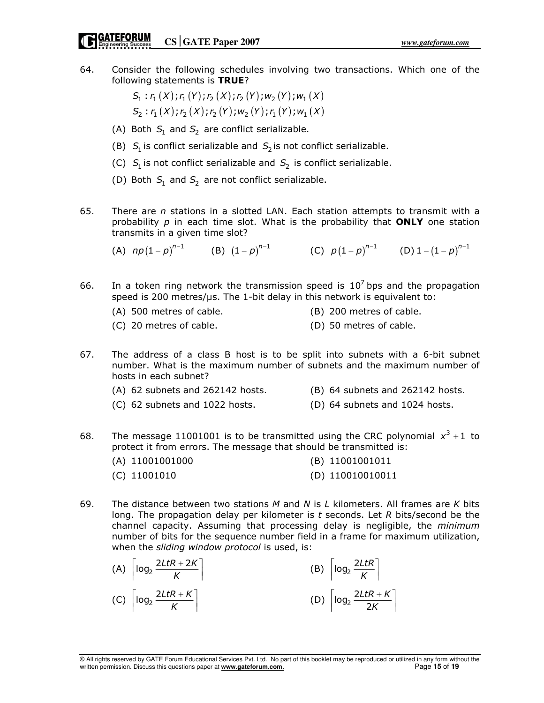64. Consider the following schedules involving two transactions. Which one of the following statements is TRUE?

> $S_1$ :  $r_1(X)$ ;  $r_1(Y)$ ;  $r_2(X)$ ;  $r_2(Y)$ ;  $w_2(Y)$ ;  $w_1(X)$  $S_2: r_1(X); r_2(X); r_2(Y); w_2(Y); r_1(Y); w_1(X)$

- (A) Both  $S_1$  and  $S_2$  are conflict serializable.
- (B)  $S_1$  is conflict serializable and  $S_2$  is not conflict serializable.
- (C)  $S_1$  is not conflict serializable and  $S_2$  is conflict serializable.
	- (D) Both  $S_1$  and  $S_2$  are not conflict serializable.
- 65. There are  $n$  stations in a slotted LAN. Each station attempts to transmit with a probability  $p$  in each time slot. What is the probability that ONLY one station transmits in a given time slot?

(A)  $np(1-p)^{n-1}$  (B)  $(1-p)^{n-1}$  (C)  $p(1-p)^{n-1}$  (D)  $1-(1-p)^{n-1}$ 

- 66. In a token ring network the transmission speed is  $10<sup>7</sup>$  bps and the propagation speed is 200 metres/us. The 1-bit delay in this network is equivalent to:
	- (A) 500 metres of cable. (B) 200 metres of cable.
	- (C) 20 metres of cable. (D) 50 metres of cable.
- 67. The address of a class B host is to be split into subnets with a 6-bit subnet number. What is the maximum number of subnets and the maximum number of hosts in each subnet?
	- (A) 62 subnets and 262142 hosts. (B) 64 subnets and 262142 hosts.
	- (C) 62 subnets and 1022 hosts. (D) 64 subnets and 1024 hosts.
- 68. The message 11001001 is to be transmitted using the CRC polynomial  $x^3 + 1$  to protect it from errors. The message that should be transmitted is:

| $(A)$ 11001001000 | (B) 11001001011    |
|-------------------|--------------------|
| $(C)$ 11001010    | $(D)$ 110010010011 |

69. The distance between two stations M and N is L kilometers. All frames are K bits long. The propagation delay per kilometer is  $t$  seconds. Let  $R$  bits/second be the channel capacity. Assuming that processing delay is negligible, the minimum number of bits for the sequence number field in a frame for maximum utilization, when the *sliding window protocol* is used, is:

| (A) $\left\lceil \log_2 \frac{2LtR + 2K}{K} \right\rceil$ | (B) $\left\lceil \log_2 \frac{2L t R}{K} \right\rceil$    |
|-----------------------------------------------------------|-----------------------------------------------------------|
| (C) $\left\lceil \log_2 \frac{2LtR + K}{K} \right\rceil$  | (D) $\left\lceil \log_2 \frac{2LtR + K}{2K} \right\rceil$ |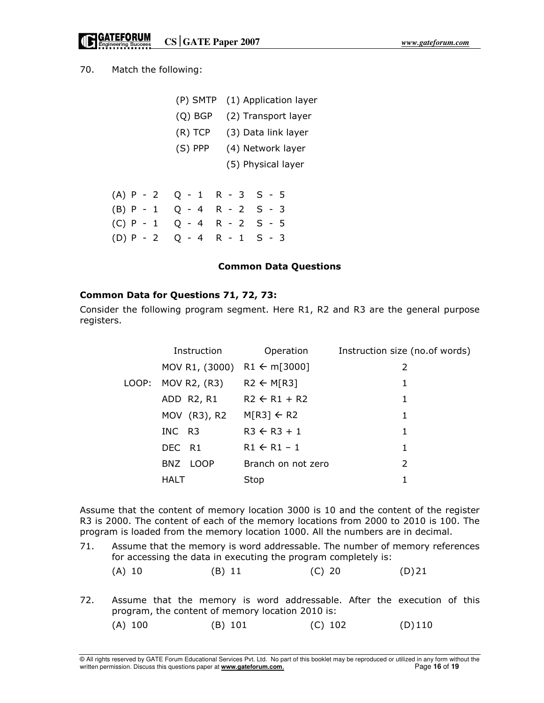**CORTEFORUM**<br> **CS** GATE Paper 2007<br> **CS** CORTE Paper 2007

70. Match the following:

|             | (P) SMTP  | (1) Application layer |
|-------------|-----------|-----------------------|
|             | $(Q)$ BGP | (2) Transport layer   |
|             | $(R)$ TCP | (3) Data link layer   |
|             | (S) PPP   | (4) Network layer     |
|             |           | (5) Physical layer    |
|             |           |                       |
| $(A)$ P - 2 |           | $Q - 1$ R - 3 S - 5   |
| $(B)$ P - 1 |           | $Q - 4 R - 2 S - 3$   |
| $(C) P - 1$ |           | $Q - 4 R - 2 S - 5$   |
| $(D) P - 2$ | Q - 4     | $R - 1 S - 3$         |

#### Common Data Questions

### Common Data for Questions 71, 72, 73:

Consider the following program segment. Here R1, R2 and R3 are the general purpose registers.

|       | Instruction                            | Operation               | Instruction size (no.of words) |
|-------|----------------------------------------|-------------------------|--------------------------------|
|       | MOV R1, (3000) R1 $\leftarrow$ m[3000] |                         | 2                              |
| LOOP: | MOV R2, (R3)                           | $R2 \leftarrow M[R3]$   | 1                              |
|       | ADD R2, R1                             | $R2 \leftarrow R1 + R2$ | 1                              |
|       | MOV (R3), R2                           | $M[R3] \leftarrow R2$   | 1                              |
|       | INC R3                                 | $R3 \leftarrow R3 + 1$  | 1                              |
|       | DEC R1                                 | $R1 \leftarrow R1 - 1$  | 1                              |
|       | BNZ LOOP                               | Branch on not zero      | $\mathcal{P}$                  |
|       | HALT                                   | Stop                    |                                |

Assume that the content of memory location 3000 is 10 and the content of the register R3 is 2000. The content of each of the memory locations from 2000 to 2010 is 100. The program is loaded from the memory location 1000. All the numbers are in decimal.

71. Assume that the memory is word addressable. The number of memory references for accessing the data in executing the program completely is:

|  | $(A)$ 10 | (B) 11 | $(C)$ 20 | $(D)$ 21 |
|--|----------|--------|----------|----------|
|--|----------|--------|----------|----------|

72. Assume that the memory is word addressable. After the execution of this program, the content of memory location 2010 is:

(A) 100 (B) 101 (C) 102 (D) 110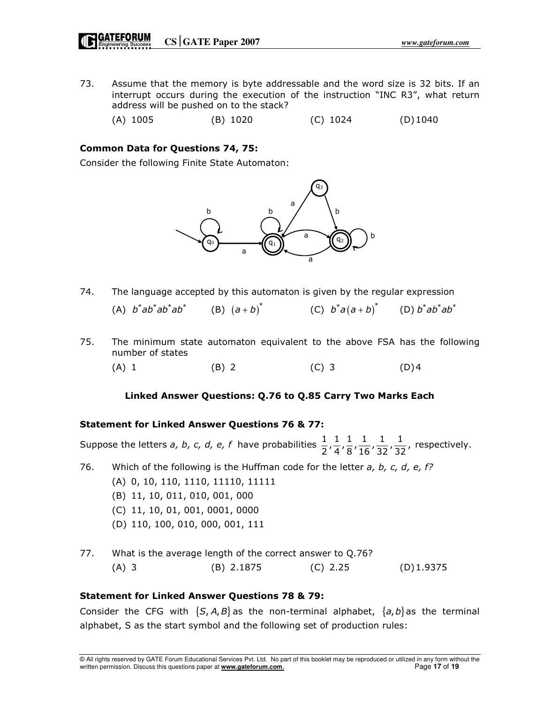73. Assume that the memory is byte addressable and the word size is 32 bits. If an interrupt occurs during the execution of the instruction "INC R3", what return address will be pushed on to the stack?

(A) 1005 (B) 1020 (C) 1024 (D) 1040

## Common Data for Questions 74, 75:

Consider the following Finite State Automaton:



- 74. The language accepted by this automaton is given by the regular expression  $(A)$   $b^*ab^*ab^*ab^*$  $(a + b)^*$  (C)  $b^* a (a + b)^*$  (D)  $b^* a b^* a b^*$
- 75. The minimum state automaton equivalent to the above FSA has the following number of states

(A) 1 (B) 2 (C) 3 (D) 4

#### Linked Answer Questions: Q.76 to Q.85 Carry Two Marks Each

#### Statement for Linked Answer Questions 76 & 77:

Suppose the letters *a, b, c, d, e, f* have probabilities  $\frac{1}{2}$ ,  $\frac{1}{4}$ ,  $\frac{1}{8}$ ,  $\frac{1}{16}$ ,  $\frac{1}{32}$ ,  $\frac{1}{32}$ , respectively.

76. Which of the following is the Huffman code for the letter  $a, b, c, d, e, f$ ?

- (A) 0, 10, 110, 1110, 11110, 11111
- (B) 11, 10, 011, 010, 001, 000
- (C) 11, 10, 01, 001, 0001, 0000
- (D) 110, 100, 010, 000, 001, 111
- 77. What is the average length of the correct answer to Q.76? (A) 3 (B) 2.1875 (C) 2.25 (D) 1.9375

#### Statement for Linked Answer Questions 78 & 79:

Consider the CFG with  $\{S, A, B\}$  as the non-terminal alphabet,  $\{a, b\}$  as the terminal alphabet, S as the start symbol and the following set of production rules: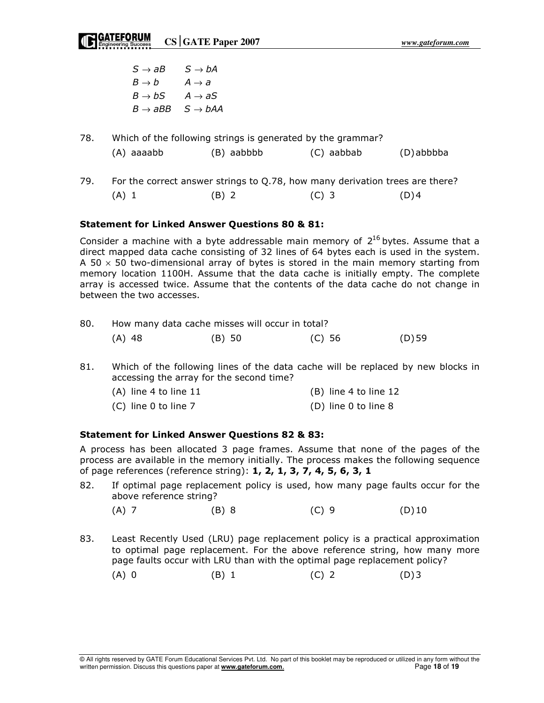$\rightarrow$  aB S  $\rightarrow$  $B \to b$   $A \to a$  $B \to bS$   $A \to aS$  $B \to aBB \quad S \to bAA$  $S \rightarrow bA$ 

| 78. |            | Which of the following strings is generated by the grammar? |            |           |
|-----|------------|-------------------------------------------------------------|------------|-----------|
|     | (A) aaaabb | (B) aabbbb                                                  | (C) aabbab | (D)abbbba |

79. For the correct answer strings to Q.78, how many derivation trees are there? (A) 1 (B) 2 (C) 3 (D) 4

#### Statement for Linked Answer Questions 80 & 81:

Consider a machine with a byte addressable main memory of  $2^{16}$  bytes. Assume that a direct mapped data cache consisting of 32 lines of 64 bytes each is used in the system. A 50  $\times$  50 two-dimensional array of bytes is stored in the main memory starting from memory location 1100H. Assume that the data cache is initially empty. The complete array is accessed twice. Assume that the contents of the data cache do not change in between the two accesses.

| 80. |        | How many data cache misses will occur in total? |        |        |
|-----|--------|-------------------------------------------------|--------|--------|
|     | (A) 48 | $(B)$ 50                                        | (C) 56 | (D) 59 |

- 81. Which of the following lines of the data cache will be replaced by new blocks in accessing the array for the second time?
	- (A) line 4 to line 11 (B) line 4 to line 12 (C) line 0 to line 7 (D) line 0 to line 8

# Statement for Linked Answer Questions 82 & 83:

A process has been allocated 3 page frames. Assume that none of the pages of the process are available in the memory initially. The process makes the following sequence of page references (reference string): 1, 2, 1, 3, 7, 4, 5, 6, 3, 1

- 82. If optimal page replacement policy is used, how many page faults occur for the above reference string?
	- $(A) 7$  (B) 8 (C) 9 (D) 10
- 83. Least Recently Used (LRU) page replacement policy is a practical approximation to optimal page replacement. For the above reference string, how many more page faults occur with LRU than with the optimal page replacement policy?

| $(A)$ 0 | $(B)$ 1 | $(C)$ 2 | $(D)$ 3 |
|---------|---------|---------|---------|
|         |         |         |         |